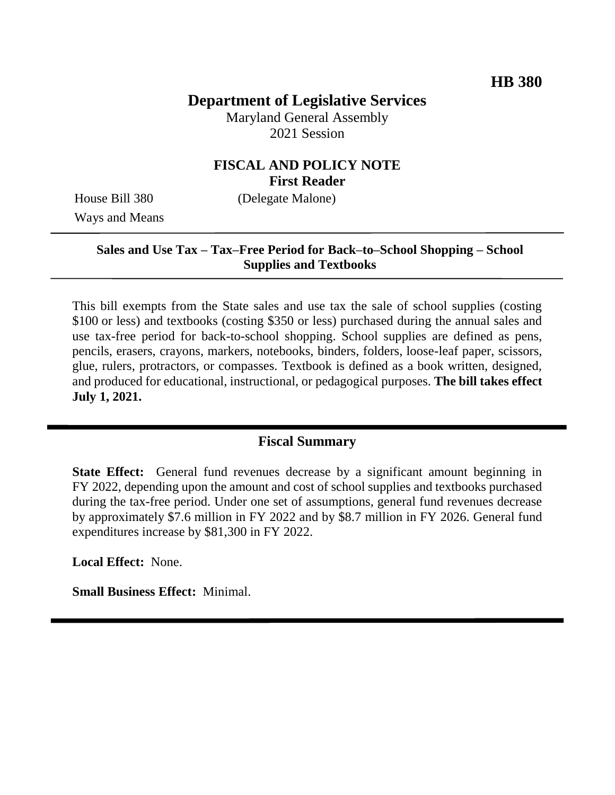## **Department of Legislative Services**

Maryland General Assembly 2021 Session

### **FISCAL AND POLICY NOTE First Reader**

Ways and Means

House Bill 380 (Delegate Malone)

#### **Sales and Use Tax – Tax–Free Period for Back–to–School Shopping – School Supplies and Textbooks**

This bill exempts from the State sales and use tax the sale of school supplies (costing \$100 or less) and textbooks (costing \$350 or less) purchased during the annual sales and use tax-free period for back-to-school shopping. School supplies are defined as pens, pencils, erasers, crayons, markers, notebooks, binders, folders, loose-leaf paper, scissors, glue, rulers, protractors, or compasses. Textbook is defined as a book written, designed, and produced for educational, instructional, or pedagogical purposes. **The bill takes effect July 1, 2021.**

### **Fiscal Summary**

**State Effect:** General fund revenues decrease by a significant amount beginning in FY 2022, depending upon the amount and cost of school supplies and textbooks purchased during the tax-free period. Under one set of assumptions, general fund revenues decrease by approximately \$7.6 million in FY 2022 and by \$8.7 million in FY 2026. General fund expenditures increase by \$81,300 in FY 2022.

**Local Effect:** None.

**Small Business Effect:** Minimal.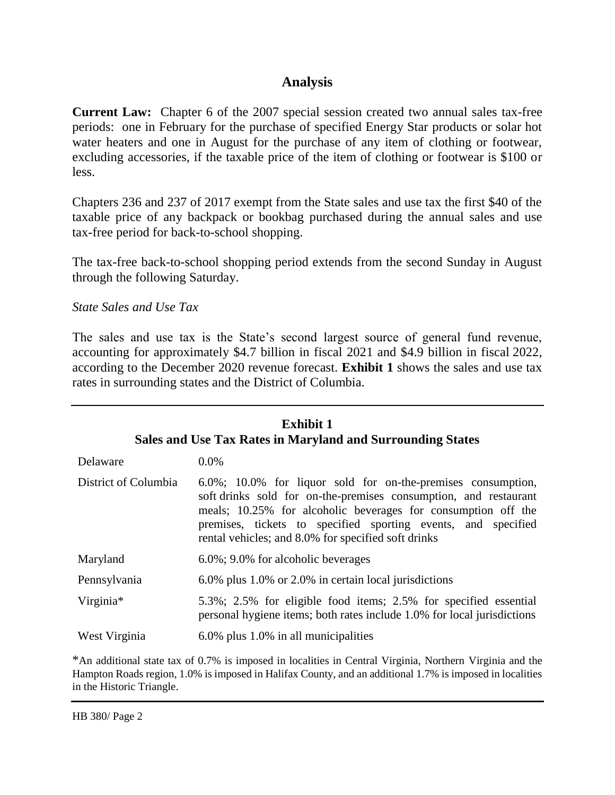### **Analysis**

**Current Law:** Chapter 6 of the 2007 special session created two annual sales tax-free periods: one in February for the purchase of specified Energy Star products or solar hot water heaters and one in August for the purchase of any item of clothing or footwear, excluding accessories, if the taxable price of the item of clothing or footwear is \$100 or less.

Chapters 236 and 237 of 2017 exempt from the State sales and use tax the first \$40 of the taxable price of any backpack or bookbag purchased during the annual sales and use tax-free period for back-to-school shopping.

The tax-free back-to-school shopping period extends from the second Sunday in August through the following Saturday.

*State Sales and Use Tax*

The sales and use tax is the State's second largest source of general fund revenue, accounting for approximately \$4.7 billion in fiscal 2021 and \$4.9 billion in fiscal 2022, according to the December 2020 revenue forecast. **Exhibit 1** shows the sales and use tax rates in surrounding states and the District of Columbia.

| <b>Exhibit 1</b><br><b>Sales and Use Tax Rates in Maryland and Surrounding States</b> |                                                                                                                                                                                                                                                                                                                           |
|---------------------------------------------------------------------------------------|---------------------------------------------------------------------------------------------------------------------------------------------------------------------------------------------------------------------------------------------------------------------------------------------------------------------------|
| Delaware                                                                              | $0.0\%$                                                                                                                                                                                                                                                                                                                   |
| District of Columbia                                                                  | 6.0%; 10.0% for liquor sold for on-the-premises consumption,<br>soft drinks sold for on-the-premises consumption, and restaurant<br>meals; 10.25% for alcoholic beverages for consumption off the<br>premises, tickets to specified sporting events, and specified<br>rental vehicles; and 8.0% for specified soft drinks |
| Maryland                                                                              | 6.0%; 9.0% for alcoholic beverages                                                                                                                                                                                                                                                                                        |
| Pennsylvania                                                                          | 6.0% plus 1.0% or 2.0% in certain local jurisdictions                                                                                                                                                                                                                                                                     |
| Virginia*                                                                             | 5.3%; 2.5% for eligible food items; 2.5% for specified essential<br>personal hygiene items; both rates include 1.0% for local jurisdictions                                                                                                                                                                               |
| West Virginia                                                                         | 6.0% plus 1.0% in all municipalities                                                                                                                                                                                                                                                                                      |

\*An additional state tax of 0.7% is imposed in localities in Central Virginia, Northern Virginia and the Hampton Roads region, 1.0% is imposed in Halifax County, and an additional 1.7% is imposed in localities in the Historic Triangle.